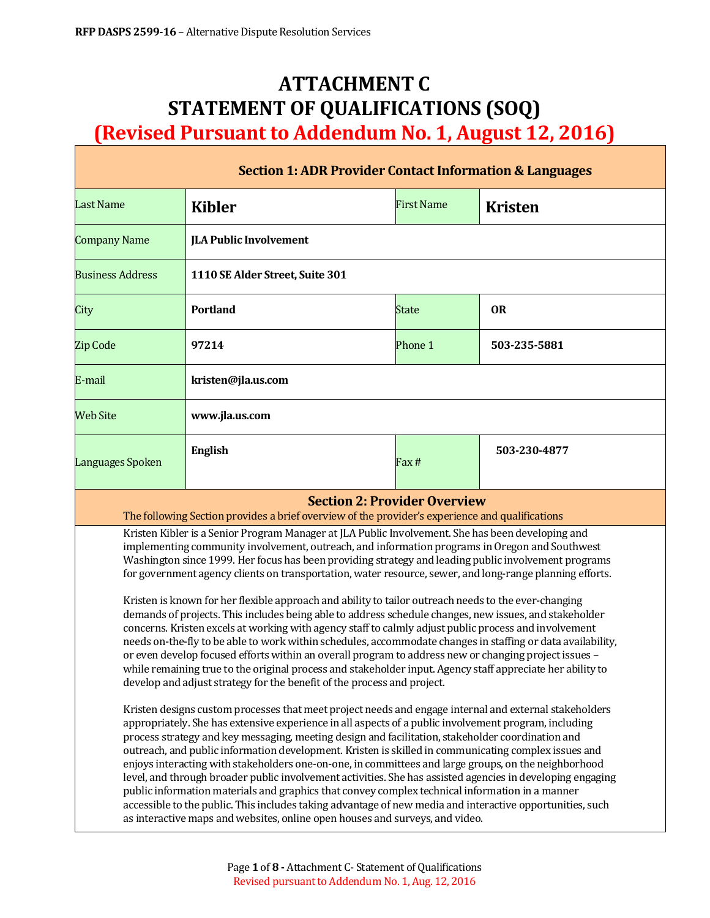# **ATTACHMENT C STATEMENT OF QUALIFICATIONS (SOQ) (Revised Pursuant to Addendum No. 1, August 12, 2016)**

| <b>Section 1: ADR Provider Contact Information &amp; Languages</b>                                                                                                                                                                                                                                                                                                                                                                                                                                                                                                                                                                                                                                                                                                                                                                                                                                                                                                                                                                                                                                                                                                  |                                 |                   |                |  |  |  |
|---------------------------------------------------------------------------------------------------------------------------------------------------------------------------------------------------------------------------------------------------------------------------------------------------------------------------------------------------------------------------------------------------------------------------------------------------------------------------------------------------------------------------------------------------------------------------------------------------------------------------------------------------------------------------------------------------------------------------------------------------------------------------------------------------------------------------------------------------------------------------------------------------------------------------------------------------------------------------------------------------------------------------------------------------------------------------------------------------------------------------------------------------------------------|---------------------------------|-------------------|----------------|--|--|--|
| <b>Last Name</b>                                                                                                                                                                                                                                                                                                                                                                                                                                                                                                                                                                                                                                                                                                                                                                                                                                                                                                                                                                                                                                                                                                                                                    | <b>Kibler</b>                   | <b>First Name</b> | <b>Kristen</b> |  |  |  |
| <b>Company Name</b>                                                                                                                                                                                                                                                                                                                                                                                                                                                                                                                                                                                                                                                                                                                                                                                                                                                                                                                                                                                                                                                                                                                                                 | <b>JLA Public Involvement</b>   |                   |                |  |  |  |
| <b>Business Address</b>                                                                                                                                                                                                                                                                                                                                                                                                                                                                                                                                                                                                                                                                                                                                                                                                                                                                                                                                                                                                                                                                                                                                             | 1110 SE Alder Street, Suite 301 |                   |                |  |  |  |
| City                                                                                                                                                                                                                                                                                                                                                                                                                                                                                                                                                                                                                                                                                                                                                                                                                                                                                                                                                                                                                                                                                                                                                                | <b>Portland</b>                 | State             | <b>OR</b>      |  |  |  |
| <b>Zip Code</b>                                                                                                                                                                                                                                                                                                                                                                                                                                                                                                                                                                                                                                                                                                                                                                                                                                                                                                                                                                                                                                                                                                                                                     | 97214                           | Phone 1           | 503-235-5881   |  |  |  |
| E-mail                                                                                                                                                                                                                                                                                                                                                                                                                                                                                                                                                                                                                                                                                                                                                                                                                                                                                                                                                                                                                                                                                                                                                              | kristen@jla.us.com              |                   |                |  |  |  |
| <b>Web Site</b>                                                                                                                                                                                                                                                                                                                                                                                                                                                                                                                                                                                                                                                                                                                                                                                                                                                                                                                                                                                                                                                                                                                                                     | www.jla.us.com                  |                   |                |  |  |  |
| Languages Spoken                                                                                                                                                                                                                                                                                                                                                                                                                                                                                                                                                                                                                                                                                                                                                                                                                                                                                                                                                                                                                                                                                                                                                    | <b>English</b>                  | Fax #             | 503-230-4877   |  |  |  |
| <b>Section 2: Provider Overview</b><br>The following Section provides a brief overview of the provider's experience and qualifications                                                                                                                                                                                                                                                                                                                                                                                                                                                                                                                                                                                                                                                                                                                                                                                                                                                                                                                                                                                                                              |                                 |                   |                |  |  |  |
| Kristen Kibler is a Senior Program Manager at JLA Public Involvement. She has been developing and<br>implementing community involvement, outreach, and information programs in Oregon and Southwest<br>Washington since 1999. Her focus has been providing strategy and leading public involvement programs<br>for government agency clients on transportation, water resource, sewer, and long-range planning efforts.<br>Kristen is known for her flexible approach and ability to tailor outreach needs to the ever-changing<br>demands of projects. This includes being able to address schedule changes, new issues, and stakeholder<br>concerns. Kristen excels at working with agency staff to calmly adjust public process and involvement<br>needs on-the-fly to be able to work within schedules, accommodate changes in staffing or data availability,<br>or even develop focused efforts within an overall program to address new or changing project issues -<br>while remaining true to the original process and stakeholder input. Agency staff appreciate her ability to<br>develop and adjust strategy for the benefit of the process and project. |                                 |                   |                |  |  |  |
| Kristen designs custom processes that meet project needs and engage internal and external stakeholders<br>appropriately. She has extensive experience in all aspects of a public involvement program, including<br>process strategy and key messaging, meeting design and facilitation, stakeholder coordination and<br>outreach, and public information development. Kristen is skilled in communicating complex issues and<br>enjoys interacting with stakeholders one-on-one, in committees and large groups, on the neighborhood<br>level, and through broader public involvement activities. She has assisted agencies in developing engaging<br>public information materials and graphics that convey complex technical information in a manner<br>accessible to the public. This includes taking advantage of new media and interactive opportunities, such<br>as interactive maps and websites, online open houses and surveys, and video.                                                                                                                                                                                                                  |                                 |                   |                |  |  |  |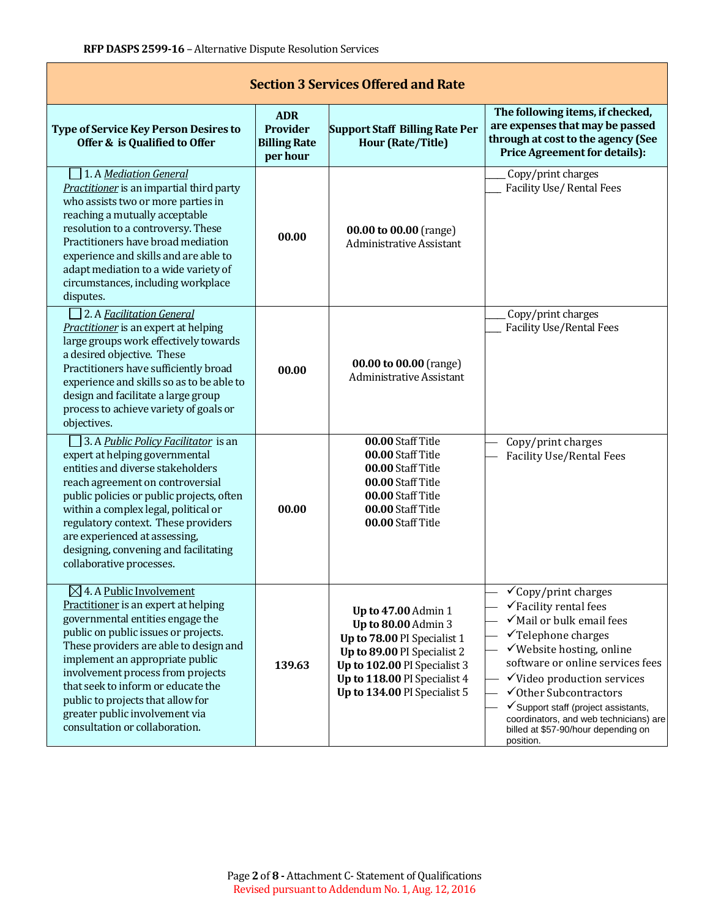| <b>Section 3 Services Offered and Rate</b>                                                                                                                                                                                                                                                                                                                                                                               |                                                           |                                                                                                                                                                                                          |                                                                                                                                                                                                                                                                                                                                                                                                             |  |  |  |  |
|--------------------------------------------------------------------------------------------------------------------------------------------------------------------------------------------------------------------------------------------------------------------------------------------------------------------------------------------------------------------------------------------------------------------------|-----------------------------------------------------------|----------------------------------------------------------------------------------------------------------------------------------------------------------------------------------------------------------|-------------------------------------------------------------------------------------------------------------------------------------------------------------------------------------------------------------------------------------------------------------------------------------------------------------------------------------------------------------------------------------------------------------|--|--|--|--|
| <b>Type of Service Key Person Desires to</b><br>Offer & is Qualified to Offer                                                                                                                                                                                                                                                                                                                                            | <b>ADR</b><br>Provider<br><b>Billing Rate</b><br>per hour | <b>Support Staff Billing Rate Per</b><br><b>Hour (Rate/Title)</b>                                                                                                                                        | The following items, if checked,<br>are expenses that may be passed<br>through at cost to the agency (See<br><b>Price Agreement for details):</b>                                                                                                                                                                                                                                                           |  |  |  |  |
| 1. A Mediation General<br>Practitioner is an impartial third party<br>who assists two or more parties in<br>reaching a mutually acceptable<br>resolution to a controversy. These<br>Practitioners have broad mediation<br>experience and skills and are able to<br>adapt mediation to a wide variety of<br>circumstances, including workplace<br>disputes.                                                               | 00.00                                                     | 00.00 to 00.00 (range)<br><b>Administrative Assistant</b>                                                                                                                                                | Copy/print charges<br><b>Facility Use/ Rental Fees</b>                                                                                                                                                                                                                                                                                                                                                      |  |  |  |  |
| 2. A Facilitation General<br>Practitioner is an expert at helping<br>large groups work effectively towards<br>a desired objective. These<br>Practitioners have sufficiently broad<br>experience and skills so as to be able to<br>design and facilitate a large group<br>process to achieve variety of goals or<br>objectives.                                                                                           | 00.00                                                     | 00.00 to 00.00 (range)<br><b>Administrative Assistant</b>                                                                                                                                                | Copy/print charges<br><b>Facility Use/Rental Fees</b>                                                                                                                                                                                                                                                                                                                                                       |  |  |  |  |
| 3. A Public Policy Facilitator is an<br>expert at helping governmental<br>entities and diverse stakeholders<br>reach agreement on controversial<br>public policies or public projects, often<br>within a complex legal, political or<br>regulatory context. These providers<br>are experienced at assessing,<br>designing, convening and facilitating<br>collaborative processes.                                        | 00.00                                                     | 00.00 Staff Title<br>00.00 Staff Title<br>00.00 Staff Title<br>00.00 Staff Title<br>00.00 Staff Title<br>00.00 Staff Title<br>00.00 Staff Title                                                          | Copy/print charges<br><b>Facility Use/Rental Fees</b>                                                                                                                                                                                                                                                                                                                                                       |  |  |  |  |
| $\boxtimes$ 4. A Public Involvement<br>Practitioner is an expert at helping<br>governmental entities engage the<br>public on public issues or projects.<br>These providers are able to design and<br>implement an appropriate public<br>involvement process from projects<br>that seek to inform or educate the<br>public to projects that allow for<br>greater public involvement via<br>consultation or collaboration. | 139.63                                                    | Up to 47.00 Admin 1<br>Up to 80.00 Admin 3<br>Up to 78.00 PI Specialist 1<br>Up to 89.00 PI Specialist 2<br>Up to 102.00 PI Specialist 3<br>Up to 118.00 PI Specialist 4<br>Up to 134.00 PI Specialist 5 | $\checkmark$ Copy/print charges<br>$\checkmark$ Facility rental fees<br>√Mail or bulk email fees<br>$\checkmark$ Telephone charges<br>√Website hosting, online<br>software or online services fees<br>$\checkmark$ Video production services<br>√Other Subcontractors<br>✔ Support staff (project assistants,<br>coordinators, and web technicians) are<br>billed at \$57-90/hour depending on<br>position. |  |  |  |  |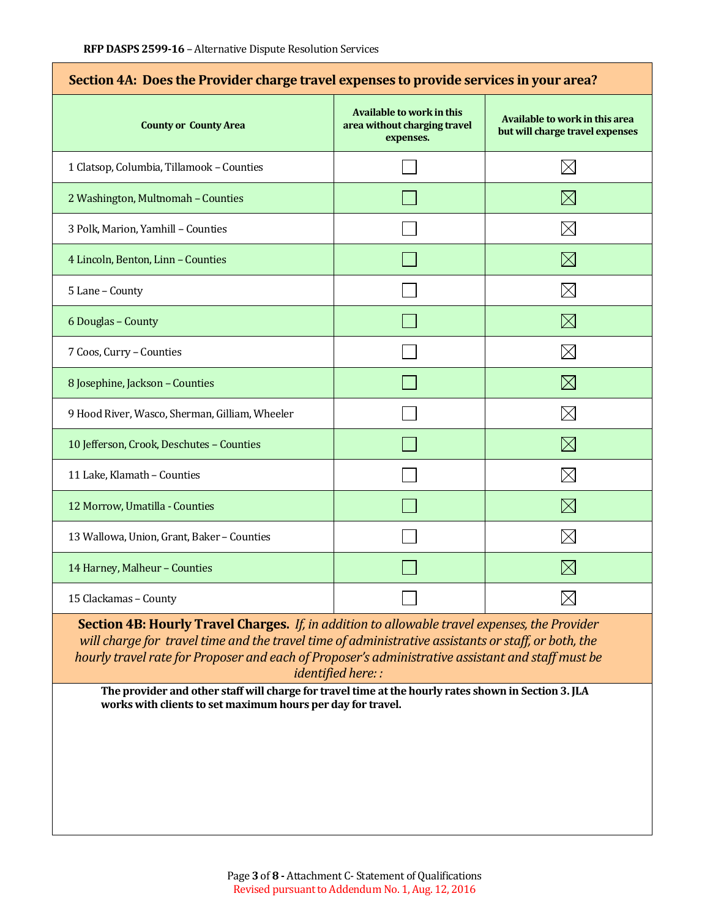| Section 4A: Does the Provider charge travel expenses to provide services in your area? |                                                                               |                                                                   |  |  |  |
|----------------------------------------------------------------------------------------|-------------------------------------------------------------------------------|-------------------------------------------------------------------|--|--|--|
| <b>County or County Area</b>                                                           | <b>Available to work in this</b><br>area without charging travel<br>expenses. | Available to work in this area<br>but will charge travel expenses |  |  |  |
| 1 Clatsop, Columbia, Tillamook - Counties                                              |                                                                               | $\times$                                                          |  |  |  |
| 2 Washington, Multnomah - Counties                                                     |                                                                               | $\boxtimes$                                                       |  |  |  |
| 3 Polk, Marion, Yamhill - Counties                                                     |                                                                               | $\times$                                                          |  |  |  |
| 4 Lincoln, Benton, Linn - Counties                                                     |                                                                               | $\boxtimes$                                                       |  |  |  |
| 5 Lane - County                                                                        |                                                                               | $\boxtimes$                                                       |  |  |  |
| 6 Douglas - County                                                                     |                                                                               | $\boxtimes$                                                       |  |  |  |
| 7 Coos, Curry - Counties                                                               |                                                                               | $\boxtimes$                                                       |  |  |  |
| 8 Josephine, Jackson - Counties                                                        |                                                                               | $\boxtimes$                                                       |  |  |  |
| 9 Hood River, Wasco, Sherman, Gilliam, Wheeler                                         |                                                                               | $\times$                                                          |  |  |  |
| 10 Jefferson, Crook, Deschutes - Counties                                              |                                                                               | $\boxtimes$                                                       |  |  |  |
| 11 Lake, Klamath - Counties                                                            |                                                                               | $\boxtimes$                                                       |  |  |  |
| 12 Morrow, Umatilla - Counties                                                         |                                                                               | $\boxtimes$                                                       |  |  |  |
| 13 Wallowa, Union, Grant, Baker - Counties                                             |                                                                               | $\boxtimes$                                                       |  |  |  |
| 14 Harney, Malheur - Counties                                                          |                                                                               | $\times$                                                          |  |  |  |
| 15 Clackamas - County                                                                  |                                                                               |                                                                   |  |  |  |

**Section 4B: Hourly Travel Charges.** *If, in addition to allowable travel expenses, the Provider will charge for travel time and the travel time of administrative assistants or staff, or both, the hourly travel rate for Proposer and each of Proposer's administrative assistant and staff must be identified here: :*

**The provider and other staff will charge for travel time at the hourly rates shown in Section 3. JLA works with clients to set maximum hours per day for travel.**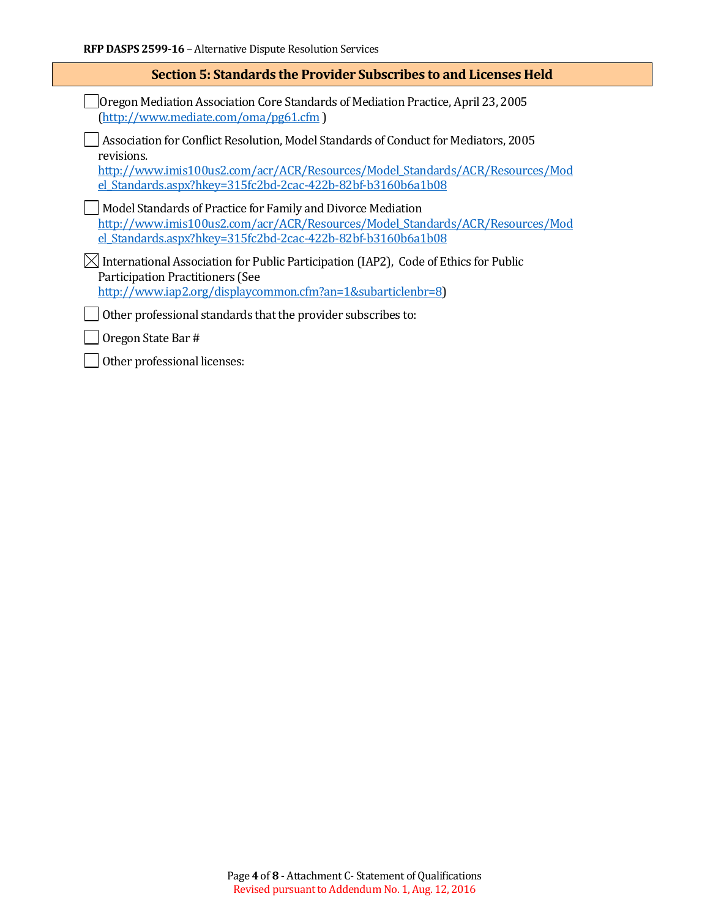| <b>Section 5: Standards the Provider Subscribes to and Licenses Held</b>                                                                                                                                     |  |  |
|--------------------------------------------------------------------------------------------------------------------------------------------------------------------------------------------------------------|--|--|
| Oregon Mediation Association Core Standards of Mediation Practice, April 23, 2005<br>(http://www.mediate.com/oma/pg61.cfm)                                                                                   |  |  |
| Association for Conflict Resolution, Model Standards of Conduct for Mediators, 2005<br>revisions.<br>http://www.imis100us2.com/acr/ACR/Resources/Model Standards/ACR/Resources/Mod                           |  |  |
| el Standards.aspx?hkey=315fc2bd-2cac-422b-82bf-b3160b6a1b08<br>Model Standards of Practice for Family and Divorce Mediation<br>http://www.imis100us2.com/acr/ACR/Resources/Model Standards/ACR/Resources/Mod |  |  |
| el Standards.aspx?hkey=315fc2bd-2cac-422b-82bf-b3160b6a1b08                                                                                                                                                  |  |  |
| $\boxtimes$ International Association for Public Participation (IAP2), Code of Ethics for Public<br><b>Participation Practitioners (See</b><br>http://www.iap2.org/displaycommon.cfm?an=1&subarticlenbr=8)   |  |  |
|                                                                                                                                                                                                              |  |  |
| Other professional standards that the provider subscribes to:                                                                                                                                                |  |  |
| Oregon State Bar #                                                                                                                                                                                           |  |  |
| Other professional licenses:                                                                                                                                                                                 |  |  |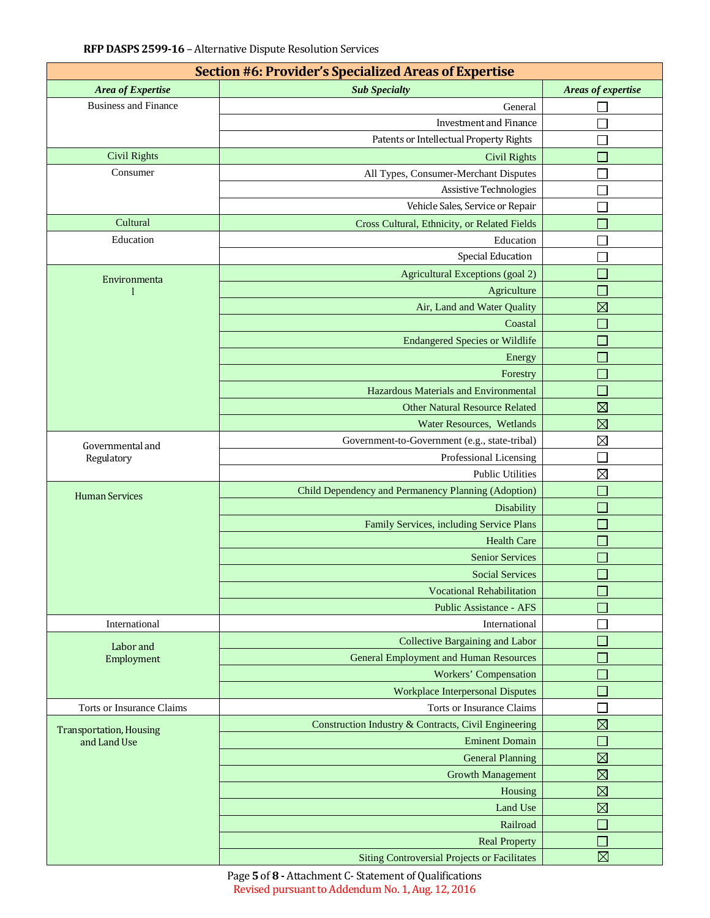| Section #6: Provider's Specialized Areas of Expertise |                                                      |                             |  |  |  |  |
|-------------------------------------------------------|------------------------------------------------------|-----------------------------|--|--|--|--|
| Area of Expertise                                     | <b>Sub Specialty</b>                                 | Areas of expertise          |  |  |  |  |
| <b>Business and Finance</b>                           | General                                              |                             |  |  |  |  |
|                                                       | <b>Investment and Finance</b>                        |                             |  |  |  |  |
|                                                       | Patents or Intellectual Property Rights              |                             |  |  |  |  |
| <b>Civil Rights</b>                                   | <b>Civil Rights</b>                                  |                             |  |  |  |  |
| Consumer                                              | All Types, Consumer-Merchant Disputes                |                             |  |  |  |  |
|                                                       | <b>Assistive Technologies</b>                        |                             |  |  |  |  |
|                                                       | Vehicle Sales, Service or Repair                     |                             |  |  |  |  |
| Cultural                                              | Cross Cultural, Ethnicity, or Related Fields         |                             |  |  |  |  |
| Education                                             | Education                                            |                             |  |  |  |  |
|                                                       | <b>Special Education</b>                             |                             |  |  |  |  |
| Environmenta                                          | Agricultural Exceptions (goal 2)                     |                             |  |  |  |  |
|                                                       | Agriculture                                          |                             |  |  |  |  |
|                                                       | Air, Land and Water Quality                          | $\boxtimes$                 |  |  |  |  |
|                                                       | Coastal                                              |                             |  |  |  |  |
|                                                       | <b>Endangered Species or Wildlife</b>                |                             |  |  |  |  |
|                                                       | Energy                                               |                             |  |  |  |  |
|                                                       | Forestry                                             |                             |  |  |  |  |
|                                                       | Hazardous Materials and Environmental                | $\Box$                      |  |  |  |  |
|                                                       | <b>Other Natural Resource Related</b>                | $\boxtimes$                 |  |  |  |  |
|                                                       | Water Resources, Wetlands                            | $\boxtimes$                 |  |  |  |  |
|                                                       | Government-to-Government (e.g., state-tribal)        | $\boxtimes$                 |  |  |  |  |
| Governmental and<br>Regulatory                        | Professional Licensing                               |                             |  |  |  |  |
|                                                       | <b>Public Utilities</b>                              | $\boxtimes$                 |  |  |  |  |
|                                                       | Child Dependency and Permanency Planning (Adoption)  |                             |  |  |  |  |
| <b>Human Services</b>                                 | Disability                                           |                             |  |  |  |  |
|                                                       | Family Services, including Service Plans             | $\mathcal{L}_{\mathcal{A}}$ |  |  |  |  |
|                                                       | <b>Health Care</b>                                   |                             |  |  |  |  |
|                                                       | <b>Senior Services</b>                               |                             |  |  |  |  |
|                                                       | <b>Social Services</b>                               |                             |  |  |  |  |
|                                                       | <b>Vocational Rehabilitation</b>                     |                             |  |  |  |  |
|                                                       | <b>Public Assistance - AFS</b>                       |                             |  |  |  |  |
| International                                         | International                                        |                             |  |  |  |  |
|                                                       | Collective Bargaining and Labor                      |                             |  |  |  |  |
| Labor and<br>Employment                               | <b>General Employment and Human Resources</b>        |                             |  |  |  |  |
|                                                       | <b>Workers' Compensation</b>                         |                             |  |  |  |  |
|                                                       | <b>Workplace Interpersonal Disputes</b>              |                             |  |  |  |  |
| Torts or Insurance Claims                             | Torts or Insurance Claims                            |                             |  |  |  |  |
|                                                       | Construction Industry & Contracts, Civil Engineering | $\boxtimes$                 |  |  |  |  |
| <b>Transportation, Housing</b><br>and Land Use        | <b>Eminent Domain</b>                                |                             |  |  |  |  |
|                                                       | <b>General Planning</b>                              | $\boxtimes$                 |  |  |  |  |
|                                                       | <b>Growth Management</b>                             | $\boxtimes$                 |  |  |  |  |
|                                                       | Housing                                              | $\boxtimes$                 |  |  |  |  |
|                                                       | Land Use                                             | $\boxtimes$                 |  |  |  |  |
|                                                       | Railroad                                             |                             |  |  |  |  |
|                                                       | <b>Real Property</b>                                 |                             |  |  |  |  |
|                                                       | <b>Siting Controversial Projects or Facilitates</b>  | $\boxtimes$                 |  |  |  |  |

Page **5** of **8 -** Attachment C- Statement of Qualifications Revised pursuant to Addendum No. 1, Aug. 12, 2016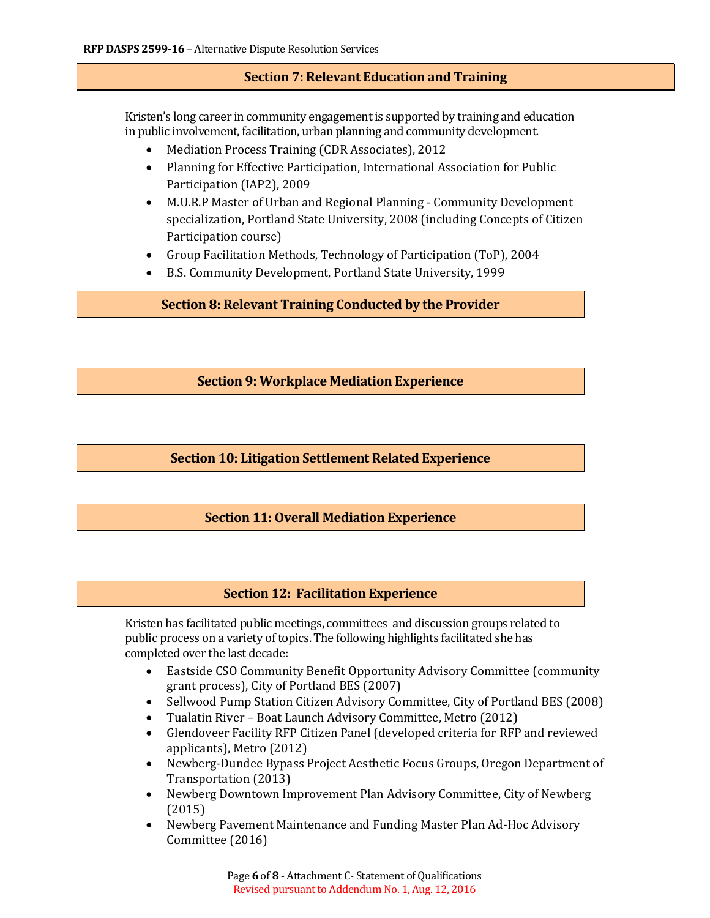### **Section 7: Relevant Education and Training**

Kristen's long career in community engagement is supported by training and education in public involvement, facilitation, urban planning and community development.

- Mediation Process Training (CDR Associates), 2012
- Planning for Effective Participation, International Association for Public Participation (IAP2), 2009
- M.U.R.P Master of Urban and Regional Planning Community Development specialization, Portland State University, 2008 (including Concepts of Citizen Participation course)
- Group Facilitation Methods, Technology of Participation (ToP), 2004
- B.S. Community Development, Portland State University, 1999

**Section 8: Relevant Training Conducted by the Provider**

**Section 9: Workplace Mediation Experience**

## **Section 10: Litigation Settlement Related Experience**

#### **Section 11: Overall Mediation Experience**

#### **Section 12: Facilitation Experience**

Kristen has facilitated public meetings, committees and discussion groups related to public process on a variety of topics. The following highlights facilitated she has completed over the last decade:

- Eastside CSO Community Benefit Opportunity Advisory Committee (community grant process), City of Portland BES (2007)
- Sellwood Pump Station Citizen Advisory Committee, City of Portland BES (2008)<br>• Tualatin River Boat Launch Advisory Committee, Metro (2012)
- Tualatin River Boat Launch Advisory Committee, Metro (2012)<br>• Glendoveer Facility RFP Citizen Panel (developed criteria for RFP
- Glendoveer Facility RFP Citizen Panel (developed criteria for RFP and reviewed applicants), Metro (2012)
- Newberg-Dundee Bypass Project Aesthetic Focus Groups, Oregon Department of Transportation (2013)
- Newberg Downtown Improvement Plan Advisory Committee, City of Newberg (2015)
- Newberg Pavement Maintenance and Funding Master Plan Ad-Hoc Advisory Committee (2016)